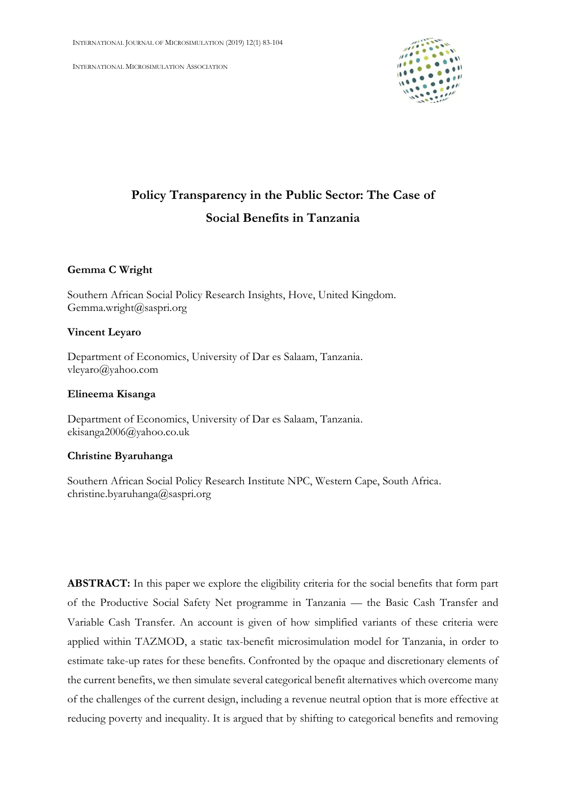INTERNATIONAL MICROSIMULATION ASSOCIATION



# **Policy Transparency in the Public Sector: The Case of Social Benefits in Tanzania**

### **Gemma C Wright**

Southern African Social Policy Research Insights, Hove, United Kingdom. Gemma.wright@saspri.org

### **Vincent Leyaro**

Department of Economics, University of Dar es Salaam, Tanzania. vleyaro@yahoo.com

### **Elineema Kisanga**

Department of Economics, University of Dar es Salaam, Tanzania. ekisanga2006@yahoo.co.uk

### **Christine Byaruhanga**

Southern African Social Policy Research Institute NPC, Western Cape, South Africa. christine.byaruhanga@saspri.org

**ABSTRACT:** In this paper we explore the eligibility criteria for the social benefits that form part of the Productive Social Safety Net programme in Tanzania — the Basic Cash Transfer and Variable Cash Transfer. An account is given of how simplified variants of these criteria were applied within TAZMOD, a static tax-benefit microsimulation model for Tanzania, in order to estimate take-up rates for these benefits. Confronted by the opaque and discretionary elements of the current benefits, we then simulate several categorical benefit alternatives which overcome many of the challenges of the current design, including a revenue neutral option that is more effective at reducing poverty and inequality. It is argued that by shifting to categorical benefits and removing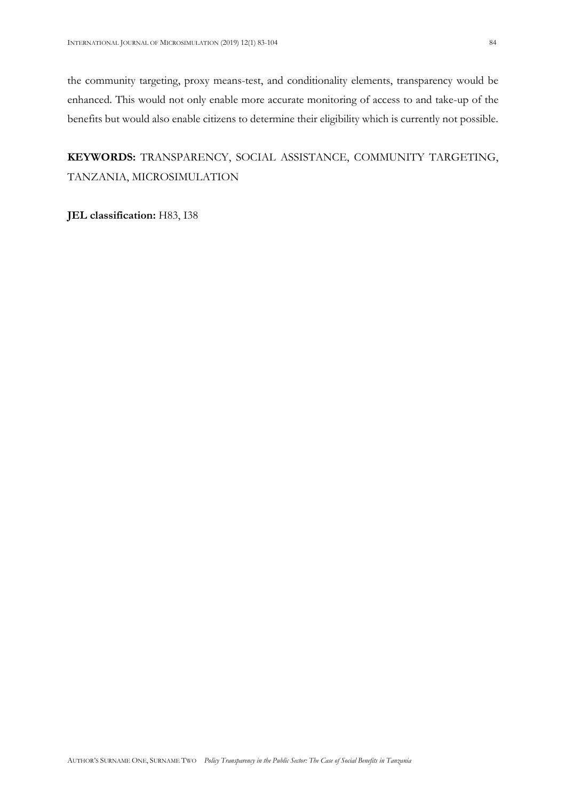the community targeting, proxy means-test, and conditionality elements, transparency would be enhanced. This would not only enable more accurate monitoring of access to and take-up of the benefits but would also enable citizens to determine their eligibility which is currently not possible.

### **KEYWORDS:** TRANSPARENCY, SOCIAL ASSISTANCE, COMMUNITY TARGETING, TANZANIA, MICROSIMULATION

**JEL classification:** H83, I38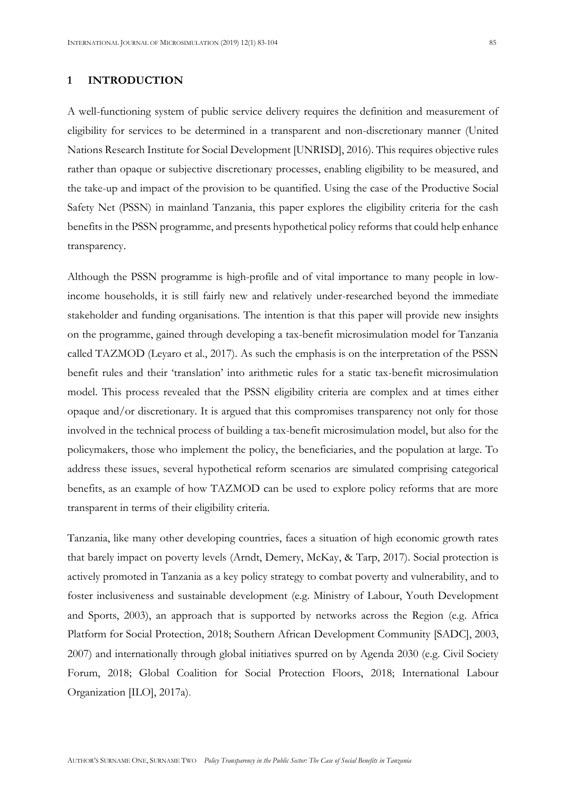### **1 INTRODUCTION**

A well-functioning system of public service delivery requires the definition and measurement of eligibility for services to be determined in a transparent and non-discretionary manner (United Nations Research Institute for Social Development [UNRISD], 2016). This requires objective rules rather than opaque or subjective discretionary processes, enabling eligibility to be measured, and the take-up and impact of the provision to be quantified. Using the case of the Productive Social Safety Net (PSSN) in mainland Tanzania, this paper explores the eligibility criteria for the cash benefits in the PSSN programme, and presents hypothetical policy reforms that could help enhance transparency.

Although the PSSN programme is high-profile and of vital importance to many people in lowincome households, it is still fairly new and relatively under-researched beyond the immediate stakeholder and funding organisations. The intention is that this paper will provide new insights on the programme, gained through developing a tax-benefit microsimulation model for Tanzania called TAZMOD (Leyaro et al., 2017). As such the emphasis is on the interpretation of the PSSN benefit rules and their 'translation' into arithmetic rules for a static tax-benefit microsimulation model. This process revealed that the PSSN eligibility criteria are complex and at times either opaque and/or discretionary. It is argued that this compromises transparency not only for those involved in the technical process of building a tax-benefit microsimulation model, but also for the policymakers, those who implement the policy, the beneficiaries, and the population at large. To address these issues, several hypothetical reform scenarios are simulated comprising categorical benefits, as an example of how TAZMOD can be used to explore policy reforms that are more transparent in terms of their eligibility criteria.

Tanzania, like many other developing countries, faces a situation of high economic growth rates that barely impact on poverty levels (Arndt, Demery, McKay, & Tarp, 2017). Social protection is actively promoted in Tanzania as a key policy strategy to combat poverty and vulnerability, and to foster inclusiveness and sustainable development (e.g. Ministry of Labour, Youth Development and Sports, 2003), an approach that is supported by networks across the Region (e.g. Africa Platform for Social Protection, 2018; Southern African Development Community [SADC], 2003, 2007) and internationally through global initiatives spurred on by Agenda 2030 (e.g. Civil Society Forum, 2018; Global Coalition for Social Protection Floors, 2018; International Labour Organization [ILO], 2017a).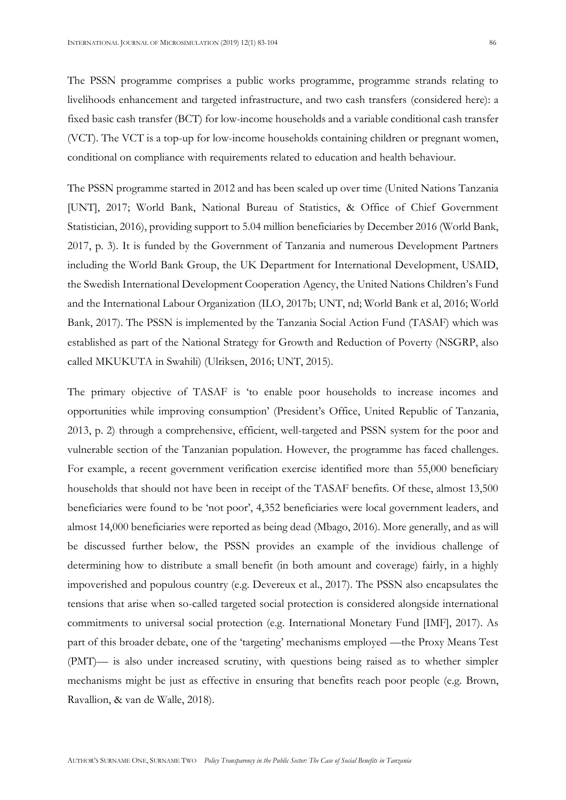The PSSN programme comprises a public works programme, programme strands relating to livelihoods enhancement and targeted infrastructure, and two cash transfers (considered here): a fixed basic cash transfer (BCT) for low-income households and a variable conditional cash transfer (VCT). The VCT is a top-up for low-income households containing children or pregnant women, conditional on compliance with requirements related to education and health behaviour.

The PSSN programme started in 2012 and has been scaled up over time (United Nations Tanzania [UNT], 2017; World Bank, National Bureau of Statistics, & Office of Chief Government Statistician, 2016), providing support to 5.04 million beneficiaries by December 2016 (World Bank, 2017, p. 3). It is funded by the Government of Tanzania and numerous Development Partners including the World Bank Group, the UK Department for International Development, USAID, the Swedish International Development Cooperation Agency, the United Nations Children's Fund and the International Labour Organization (ILO, 2017b; UNT, nd; World Bank et al, 2016; World Bank, 2017). The PSSN is implemented by the Tanzania Social Action Fund (TASAF) which was established as part of the National Strategy for Growth and Reduction of Poverty (NSGRP, also called MKUKUTA in Swahili) (Ulriksen, 2016; UNT, 2015).

The primary objective of TASAF is 'to enable poor households to increase incomes and opportunities while improving consumption' (President's Office, United Republic of Tanzania, 2013, p. 2) through a comprehensive, efficient, well-targeted and PSSN system for the poor and vulnerable section of the Tanzanian population. However, the programme has faced challenges. For example, a recent government verification exercise identified more than 55,000 beneficiary households that should not have been in receipt of the TASAF benefits. Of these, almost 13,500 beneficiaries were found to be 'not poor', 4,352 beneficiaries were local government leaders, and almost 14,000 beneficiaries were reported as being dead (Mbago, 2016). More generally, and as will be discussed further below, the PSSN provides an example of the invidious challenge of determining how to distribute a small benefit (in both amount and coverage) fairly, in a highly impoverished and populous country (e.g. Devereux et al., 2017). The PSSN also encapsulates the tensions that arise when so-called targeted social protection is considered alongside international commitments to universal social protection (e.g. International Monetary Fund [IMF], 2017). As part of this broader debate, one of the 'targeting' mechanisms employed —the Proxy Means Test (PMT)— is also under increased scrutiny, with questions being raised as to whether simpler mechanisms might be just as effective in ensuring that benefits reach poor people (e.g. Brown, Ravallion, & van de Walle, 2018).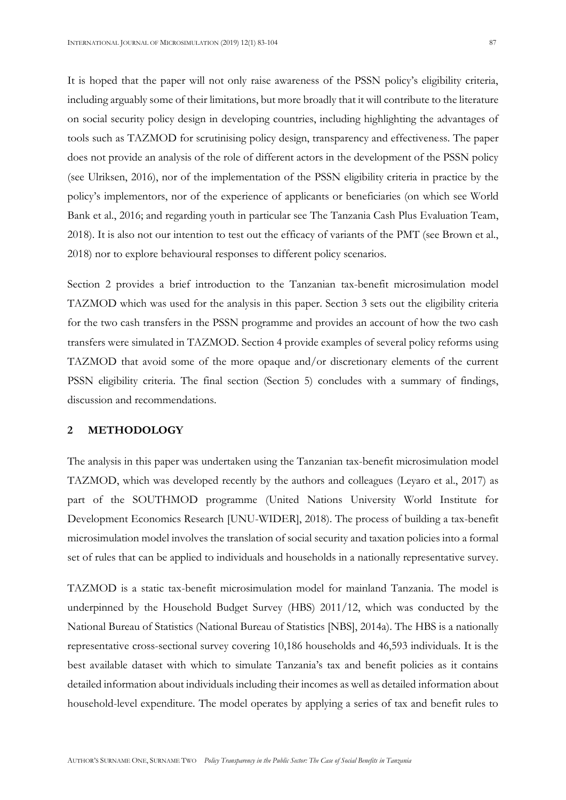It is hoped that the paper will not only raise awareness of the PSSN policy's eligibility criteria, including arguably some of their limitations, but more broadly that it will contribute to the literature on social security policy design in developing countries, including highlighting the advantages of tools such as TAZMOD for scrutinising policy design, transparency and effectiveness. The paper does not provide an analysis of the role of different actors in the development of the PSSN policy (see Ulriksen, 2016), nor of the implementation of the PSSN eligibility criteria in practice by the policy's implementors, nor of the experience of applicants or beneficiaries (on which see World Bank et al., 2016; and regarding youth in particular see The Tanzania Cash Plus Evaluation Team, 2018). It is also not our intention to test out the efficacy of variants of the PMT (see Brown et al., 2018) nor to explore behavioural responses to different policy scenarios.

Section 2 provides a brief introduction to the Tanzanian tax-benefit microsimulation model TAZMOD which was used for the analysis in this paper. Section 3 sets out the eligibility criteria for the two cash transfers in the PSSN programme and provides an account of how the two cash transfers were simulated in TAZMOD. Section 4 provide examples of several policy reforms using TAZMOD that avoid some of the more opaque and/or discretionary elements of the current PSSN eligibility criteria. The final section (Section 5) concludes with a summary of findings, discussion and recommendations.

### **2 METHODOLOGY**

The analysis in this paper was undertaken using the Tanzanian tax-benefit microsimulation model TAZMOD, which was developed recently by the authors and colleagues (Leyaro et al., 2017) as part of the SOUTHMOD programme (United Nations University World Institute for Development Economics Research [UNU-WIDER], 2018). The process of building a tax-benefit microsimulation model involves the translation of social security and taxation policies into a formal set of rules that can be applied to individuals and households in a nationally representative survey.

TAZMOD is a static tax-benefit microsimulation model for mainland Tanzania. The model is underpinned by the Household Budget Survey (HBS) 2011/12, which was conducted by the National Bureau of Statistics (National Bureau of Statistics [NBS], 2014a). The HBS is a nationally representative cross-sectional survey covering 10,186 households and 46,593 individuals. It is the best available dataset with which to simulate Tanzania's tax and benefit policies as it contains detailed information about individuals including their incomes as well as detailed information about household-level expenditure. The model operates by applying a series of tax and benefit rules to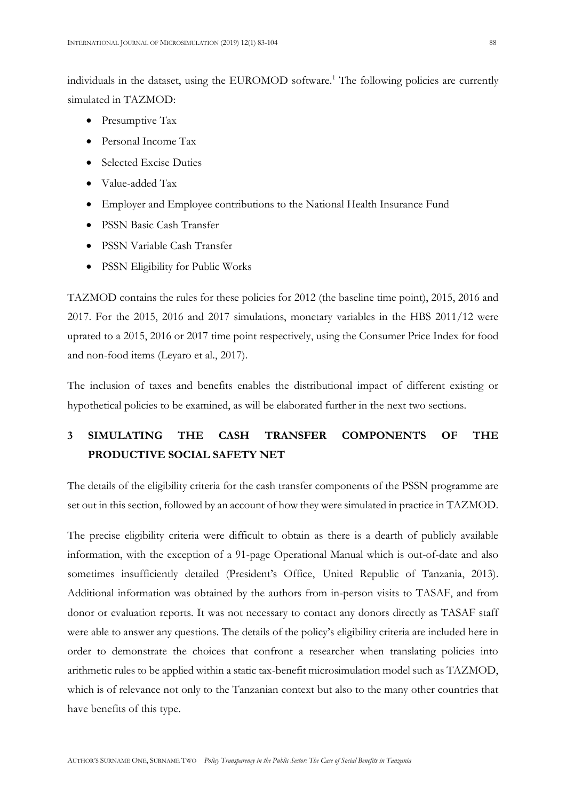individuals in the dataset, using the EUROMOD software.<sup>1</sup> The following policies are currently simulated in TAZMOD:

- Presumptive Tax
- Personal Income Tax
- Selected Excise Duties
- Value-added Tax
- Employer and Employee contributions to the National Health Insurance Fund
- PSSN Basic Cash Transfer
- PSSN Variable Cash Transfer
- PSSN Eligibility for Public Works

TAZMOD contains the rules for these policies for 2012 (the baseline time point), 2015, 2016 and 2017. For the 2015, 2016 and 2017 simulations, monetary variables in the HBS 2011/12 were uprated to a 2015, 2016 or 2017 time point respectively, using the Consumer Price Index for food and non-food items (Leyaro et al., 2017).

The inclusion of taxes and benefits enables the distributional impact of different existing or hypothetical policies to be examined, as will be elaborated further in the next two sections.

## **3 SIMULATING THE CASH TRANSFER COMPONENTS OF THE PRODUCTIVE SOCIAL SAFETY NET**

The details of the eligibility criteria for the cash transfer components of the PSSN programme are set out in this section, followed by an account of how they were simulated in practice in TAZMOD.

The precise eligibility criteria were difficult to obtain as there is a dearth of publicly available information, with the exception of a 91-page Operational Manual which is out-of-date and also sometimes insufficiently detailed (President's Office, United Republic of Tanzania, 2013). Additional information was obtained by the authors from in-person visits to TASAF, and from donor or evaluation reports. It was not necessary to contact any donors directly as TASAF staff were able to answer any questions. The details of the policy's eligibility criteria are included here in order to demonstrate the choices that confront a researcher when translating policies into arithmetic rules to be applied within a static tax-benefit microsimulation model such as TAZMOD, which is of relevance not only to the Tanzanian context but also to the many other countries that have benefits of this type.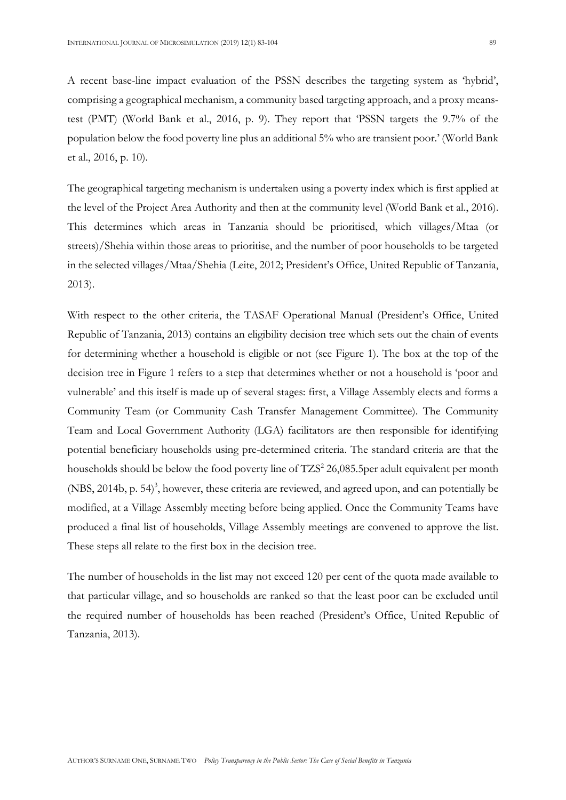A recent base-line impact evaluation of the PSSN describes the targeting system as 'hybrid', comprising a geographical mechanism, a community based targeting approach, and a proxy meanstest (PMT) (World Bank et al., 2016, p. 9). They report that 'PSSN targets the 9.7% of the population below the food poverty line plus an additional 5% who are transient poor.' (World Bank et al., 2016, p. 10).

The geographical targeting mechanism is undertaken using a poverty index which is first applied at the level of the Project Area Authority and then at the community level (World Bank et al., 2016). This determines which areas in Tanzania should be prioritised, which villages/Mtaa (or streets)/Shehia within those areas to prioritise, and the number of poor households to be targeted in the selected villages/Mtaa/Shehia (Leite, 2012; President's Office, United Republic of Tanzania, 2013).

With respect to the other criteria, the TASAF Operational Manual (President's Office, United Republic of Tanzania, 2013) contains an eligibility decision tree which sets out the chain of events for determining whether a household is eligible or not (see Figure 1). The box at the top of the decision tree in Figure 1 refers to a step that determines whether or not a household is 'poor and vulnerable' and this itself is made up of several stages: first, a Village Assembly elects and forms a Community Team (or Community Cash Transfer Management Committee). The Community Team and Local Government Authority (LGA) facilitators are then responsible for identifying potential beneficiary households using pre-determined criteria. The standard criteria are that the households should be below the food poverty line of TZS<sup>2</sup> 26,085.5per adult equivalent per month (NBS, 2014b, p. 54)<sup>3</sup>, however, these criteria are reviewed, and agreed upon, and can potentially be modified, at a Village Assembly meeting before being applied. Once the Community Teams have produced a final list of households, Village Assembly meetings are convened to approve the list. These steps all relate to the first box in the decision tree.

The number of households in the list may not exceed 120 per cent of the quota made available to that particular village, and so households are ranked so that the least poor can be excluded until the required number of households has been reached (President's Office, United Republic of Tanzania, 2013).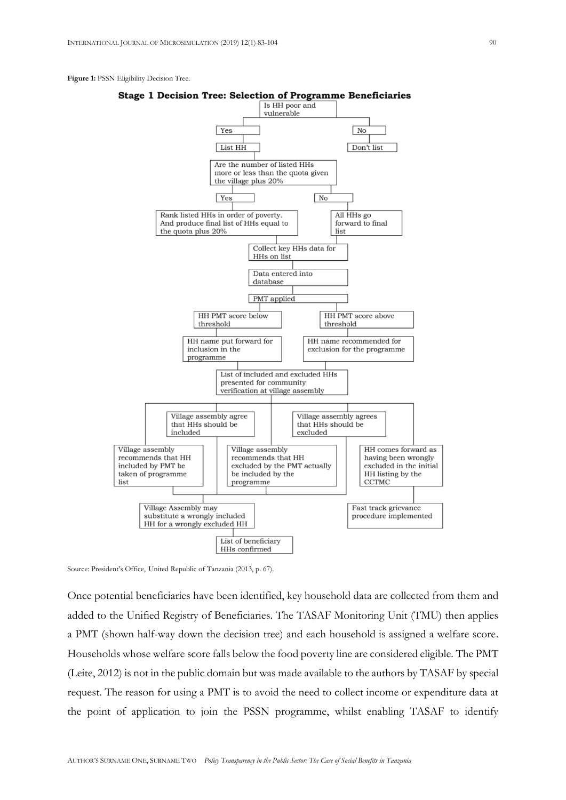#### Figure 1: PSSN Eligibility Decision Tree.





Source: President's Office, United Republic of Tanzania (2013, p. 67).

Once potential beneficiaries have been identified, key household data are collected from them and added to the Unified Registry of Beneficiaries. The TASAF Monitoring Unit (TMU) then applies a PMT (shown half-way down the decision tree) and each household is assigned a welfare score. Households whose welfare score falls below the food poverty line are considered eligible. The PMT (Leite, 2012) is not in the public domain but was made available to the authors by TASAF by special request. The reason for using a PMT is to avoid the need to collect income or expenditure data at the point of application to join the PSSN programme, whilst enabling TASAF to identify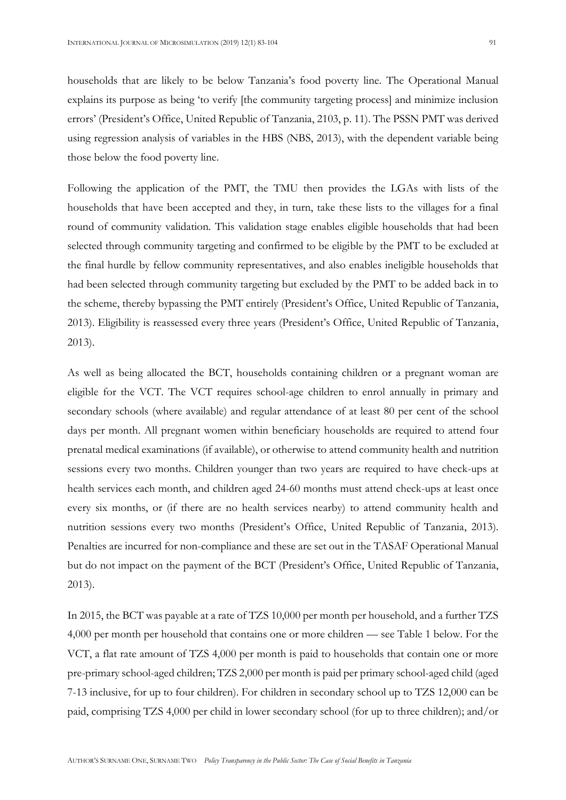households that are likely to be below Tanzania's food poverty line. The Operational Manual explains its purpose as being 'to verify [the community targeting process] and minimize inclusion errors' (President's Office, United Republic of Tanzania, 2103, p. 11). The PSSN PMT was derived using regression analysis of variables in the HBS (NBS, 2013), with the dependent variable being those below the food poverty line.

Following the application of the PMT, the TMU then provides the LGAs with lists of the households that have been accepted and they, in turn, take these lists to the villages for a final round of community validation. This validation stage enables eligible households that had been selected through community targeting and confirmed to be eligible by the PMT to be excluded at the final hurdle by fellow community representatives, and also enables ineligible households that had been selected through community targeting but excluded by the PMT to be added back in to the scheme, thereby bypassing the PMT entirely (President's Office, United Republic of Tanzania, 2013). Eligibility is reassessed every three years (President's Office, United Republic of Tanzania, 2013).

As well as being allocated the BCT, households containing children or a pregnant woman are eligible for the VCT. The VCT requires school-age children to enrol annually in primary and secondary schools (where available) and regular attendance of at least 80 per cent of the school days per month. All pregnant women within beneficiary households are required to attend four prenatal medical examinations (if available), or otherwise to attend community health and nutrition sessions every two months. Children younger than two years are required to have check-ups at health services each month, and children aged 24-60 months must attend check-ups at least once every six months, or (if there are no health services nearby) to attend community health and nutrition sessions every two months (President's Office, United Republic of Tanzania, 2013). Penalties are incurred for non-compliance and these are set out in the TASAF Operational Manual but do not impact on the payment of the BCT (President's Office, United Republic of Tanzania, 2013).

In 2015, the BCT was payable at a rate of TZS 10,000 per month per household, and a further TZS 4,000 per month per household that contains one or more children — see Table 1 below. For the VCT, a flat rate amount of TZS 4,000 per month is paid to households that contain one or more pre-primary school-aged children; TZS 2,000 per month is paid per primary school-aged child (aged 7-13 inclusive, for up to four children). For children in secondary school up to TZS 12,000 can be paid, comprising TZS 4,000 per child in lower secondary school (for up to three children); and/or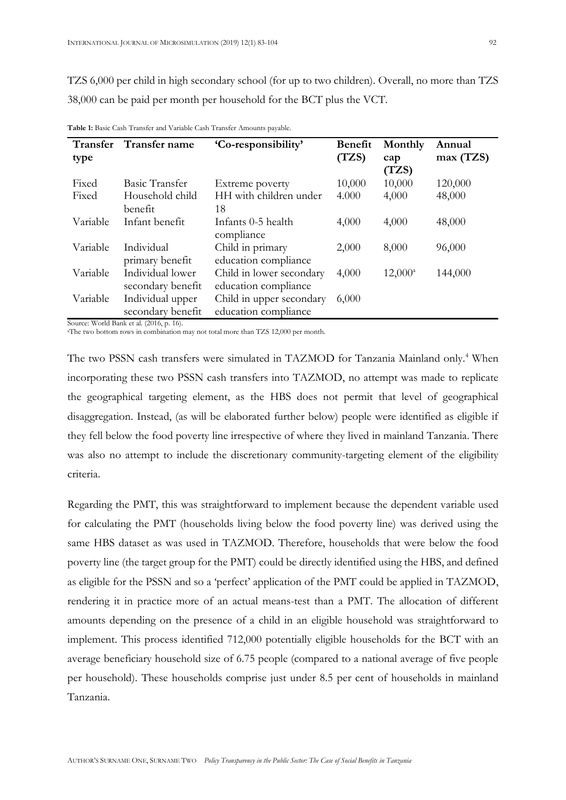TZS 6,000 per child in high secondary school (for up to two children). Overall, no more than TZS 38,000 can be paid per month per household for the BCT plus the VCT.

| <b>Transfer</b> | Transfer name                         | 'Co-responsibility'                              | <b>Benefit</b> | Monthly      | Annual   |
|-----------------|---------------------------------------|--------------------------------------------------|----------------|--------------|----------|
| type            |                                       |                                                  | (TZS)          | cap<br>(TZS) | max(TZS) |
| Fixed           | Basic Transfer                        | Extreme poverty                                  | 10,000         | 10,000       | 120,000  |
| Fixed           | Household child<br>benefit            | HH with children under<br>18                     | 4.000          | 4,000        | 48,000   |
| Variable        | Infant benefit                        | Infants 0-5 health<br>compliance                 | 4,000          | 4,000        | 48,000   |
| Variable        | Individual<br>primary benefit         | Child in primary<br>education compliance         | 2,000          | 8,000        | 96,000   |
| Variable        | Individual lower<br>secondary benefit | Child in lower secondary<br>education compliance | 4,000          | $12,000^a$   | 144,000  |
| Variable        | Individual upper<br>secondary benefit | Child in upper secondary<br>education compliance | 6,000          |              |          |

**Table 1:** Basic Cash Transfer and Variable Cash Transfer Amounts payable.

Source: World Bank et al. (2016, p. 16).

<sup>a</sup>The two bottom rows in combination may not total more than TZS 12,000 per month.

The two PSSN cash transfers were simulated in TAZMOD for Tanzania Mainland only.<sup>4</sup> When incorporating these two PSSN cash transfers into TAZMOD, no attempt was made to replicate the geographical targeting element, as the HBS does not permit that level of geographical disaggregation. Instead, (as will be elaborated further below) people were identified as eligible if they fell below the food poverty line irrespective of where they lived in mainland Tanzania. There was also no attempt to include the discretionary community-targeting element of the eligibility criteria.

Regarding the PMT, this was straightforward to implement because the dependent variable used for calculating the PMT (households living below the food poverty line) was derived using the same HBS dataset as was used in TAZMOD. Therefore, households that were below the food poverty line (the target group for the PMT) could be directly identified using the HBS, and defined as eligible for the PSSN and so a 'perfect' application of the PMT could be applied in TAZMOD, rendering it in practice more of an actual means-test than a PMT. The allocation of different amounts depending on the presence of a child in an eligible household was straightforward to implement. This process identified 712,000 potentially eligible households for the BCT with an average beneficiary household size of 6.75 people (compared to a national average of five people per household). These households comprise just under 8.5 per cent of households in mainland Tanzania.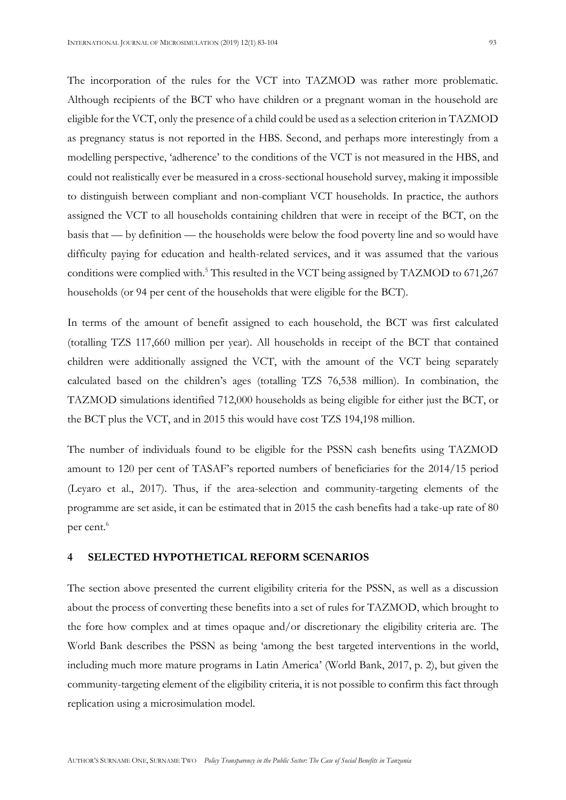The incorporation of the rules for the VCT into TAZMOD was rather more problematic. Although recipients of the BCT who have children or a pregnant woman in the household are eligible for the VCT, only the presence of a child could be used as a selection criterion in TAZMOD as pregnancy status is not reported in the HBS. Second, and perhaps more interestingly from a modelling perspective, 'adherence' to the conditions of the VCT is not measured in the HBS, and could not realistically ever be measured in a cross-sectional household survey, making it impossible to distinguish between compliant and non-compliant VCT households. In practice, the authors assigned the VCT to all households containing children that were in receipt of the BCT, on the basis that — by definition — the households were below the food poverty line and so would have difficulty paying for education and health-related services, and it was assumed that the various conditions were complied with.<sup>5</sup> This resulted in the VCT being assigned by TAZMOD to 671,267 households (or 94 per cent of the households that were eligible for the BCT).

In terms of the amount of benefit assigned to each household, the BCT was first calculated (totalling TZS 117,660 million per year). All households in receipt of the BCT that contained children were additionally assigned the VCT, with the amount of the VCT being separately calculated based on the children's ages (totalling TZS 76,538 million). In combination, the TAZMOD simulations identified 712,000 households as being eligible for either just the BCT, or the BCT plus the VCT, and in 2015 this would have cost TZS 194,198 million.

The number of individuals found to be eligible for the PSSN cash benefits using TAZMOD amount to 120 per cent of TASAF's reported numbers of beneficiaries for the 2014/15 period (Leyaro et al., 2017). Thus, if the area-selection and community-targeting elements of the programme are set aside, it can be estimated that in 2015 the cash benefits had a take-up rate of 80 per cent. 6

### **4 SELECTED HYPOTHETICAL REFORM SCENARIOS**

The section above presented the current eligibility criteria for the PSSN, as well as a discussion about the process of converting these benefits into a set of rules for TAZMOD, which brought to the fore how complex and at times opaque and/or discretionary the eligibility criteria are. The World Bank describes the PSSN as being 'among the best targeted interventions in the world, including much more mature programs in Latin America' (World Bank, 2017, p. 2), but given the community-targeting element of the eligibility criteria, it is not possible to confirm this fact through replication using a microsimulation model.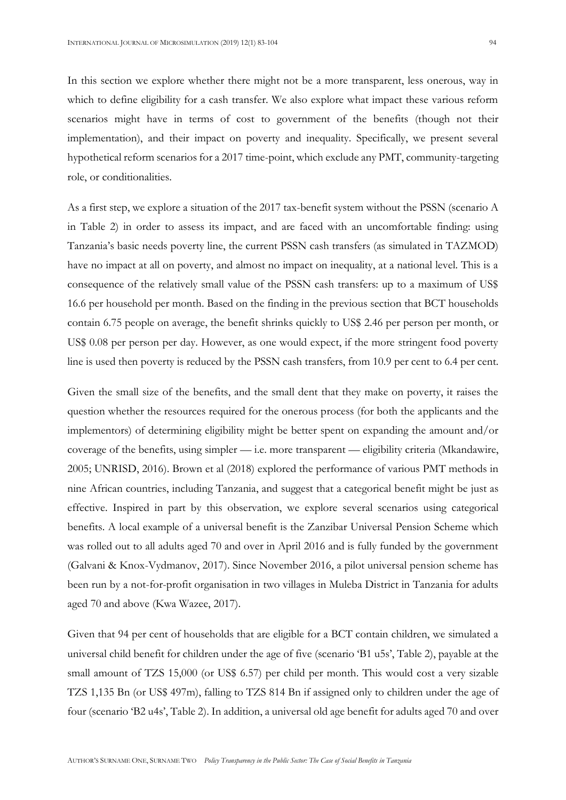In this section we explore whether there might not be a more transparent, less onerous, way in which to define eligibility for a cash transfer. We also explore what impact these various reform scenarios might have in terms of cost to government of the benefits (though not their implementation), and their impact on poverty and inequality. Specifically, we present several hypothetical reform scenarios for a 2017 time-point, which exclude any PMT, community-targeting role, or conditionalities.

As a first step, we explore a situation of the 2017 tax-benefit system without the PSSN (scenario A in Table 2) in order to assess its impact, and are faced with an uncomfortable finding: using Tanzania's basic needs poverty line, the current PSSN cash transfers (as simulated in TAZMOD) have no impact at all on poverty, and almost no impact on inequality, at a national level. This is a consequence of the relatively small value of the PSSN cash transfers: up to a maximum of US\$ 16.6 per household per month. Based on the finding in the previous section that BCT households contain 6.75 people on average, the benefit shrinks quickly to US\$ 2.46 per person per month, or US\$ 0.08 per person per day. However, as one would expect, if the more stringent food poverty line is used then poverty is reduced by the PSSN cash transfers, from 10.9 per cent to 6.4 per cent.

Given the small size of the benefits, and the small dent that they make on poverty, it raises the question whether the resources required for the onerous process (for both the applicants and the implementors) of determining eligibility might be better spent on expanding the amount and/or coverage of the benefits, using simpler — i.e. more transparent — eligibility criteria (Mkandawire, 2005; UNRISD, 2016). Brown et al (2018) explored the performance of various PMT methods in nine African countries, including Tanzania, and suggest that a categorical benefit might be just as effective. Inspired in part by this observation, we explore several scenarios using categorical benefits. A local example of a universal benefit is the Zanzibar Universal Pension Scheme which was rolled out to all adults aged 70 and over in April 2016 and is fully funded by the government (Galvani & Knox-Vydmanov, 2017). Since November 2016, a pilot universal pension scheme has been run by a not-for-profit organisation in two villages in Muleba District in Tanzania for adults aged 70 and above (Kwa Wazee, 2017).

Given that 94 per cent of households that are eligible for a BCT contain children, we simulated a universal child benefit for children under the age of five (scenario 'B1 u5s', Table 2), payable at the small amount of TZS 15,000 (or US\$ 6.57) per child per month. This would cost a very sizable TZS 1,135 Bn (or US\$ 497m), falling to TZS 814 Bn if assigned only to children under the age of four (scenario 'B2 u4s', Table 2). In addition, a universal old age benefit for adults aged 70 and over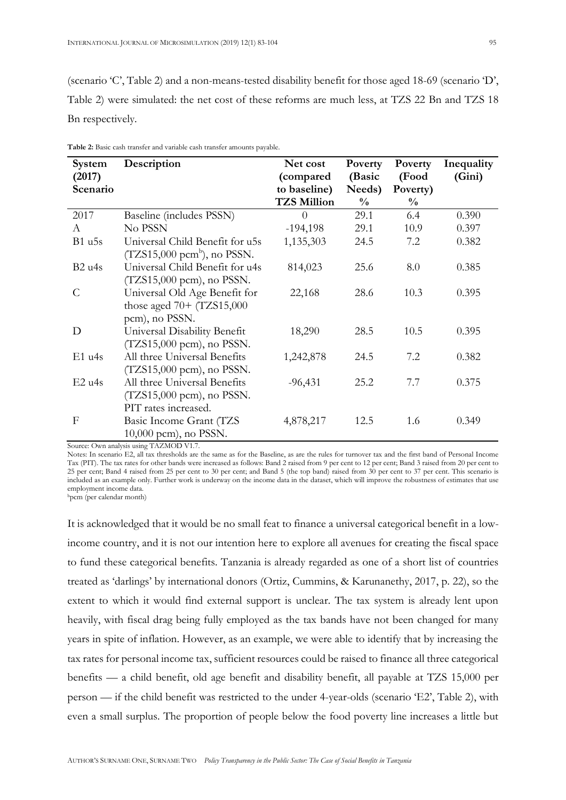(scenario 'C', Table 2) and a non-means-tested disability benefit for those aged 18-69 (scenario 'D', Table 2) were simulated: the net cost of these reforms are much less, at TZS 22 Bn and TZS 18 Bn respectively.

| System   | Description                            | Net cost           | Poverty       | Poverty       | Inequality |
|----------|----------------------------------------|--------------------|---------------|---------------|------------|
| (2017)   |                                        | (compared          | (Basic        | (Food         | (Gini)     |
| Scenario |                                        | to baseline)       | Needs)        | Poverty)      |            |
|          |                                        | <b>TZS Million</b> | $\frac{0}{0}$ | $\frac{0}{0}$ |            |
| 2017     | Baseline (includes PSSN)               | $\Omega$           | 29.1          | 6.4           | 0.390      |
| A        | No PSSN                                | $-194,198$         | 29.1          | 10.9          | 0.397      |
| $B1$ u5s | Universal Child Benefit for u5s        | 1,135,303          | 24.5          | 7.2           | 0.382      |
|          | $(TZS15,000 \text{ pcm}^b)$ , no PSSN. |                    |               |               |            |
| B2 u4s   | Universal Child Benefit for u4s        | 814,023            | 25.6          | 8.0           | 0.385      |
|          | $(TZS15,000 \text{ pcm})$ , no PSSN.   |                    |               |               |            |
| C        | Universal Old Age Benefit for          | 22,168             | 28.6          | 10.3          | 0.395      |
|          | those aged $70+$ (TZS15,000            |                    |               |               |            |
|          | pcm), no PSSN.                         |                    |               |               |            |
| D        | Universal Disability Benefit           | 18,290             | 28.5          | 10.5          | 0.395      |
|          | (TZS15,000 pcm), no PSSN.              |                    |               |               |            |
| $E1$ u4s | All three Universal Benefits           | 1,242,878          | 24.5          | 7.2           | 0.382      |
|          | $(TZS15,000 \text{ pcm})$ , no PSSN.   |                    |               |               |            |
| $E2$ u4s | All three Universal Benefits           | $-96,431$          | 25.2          | 7.7           | 0.375      |
|          | $(TZS15,000 \text{ pcm})$ , no PSSN.   |                    |               |               |            |
|          | PIT rates increased.                   |                    |               |               |            |
| F        | Basic Income Grant (TZS                | 4,878,217          | 12.5          | 1.6           | 0.349      |
|          | $10,000$ pcm), no PSSN.                |                    |               |               |            |

**Table 2:** Basic cash transfer and variable cash transfer amounts payable.

Source: Own analysis using TAZMOD V1.7.

Notes: In scenario E2, all tax thresholds are the same as for the Baseline, as are the rules for turnover tax and the first band of Personal Income Tax (PIT). The tax rates for other bands were increased as follows: Band 2 raised from 9 per cent to 12 per cent; Band 3 raised from 20 per cent to 25 per cent; Band 4 raised from 25 per cent to 30 per cent; and Band 5 (the top band) raised from 30 per cent to 37 per cent. This scenario is included as an example only. Further work is underway on the income data in the dataset, which will improve the robustness of estimates that use employment income data.

<sup>b</sup>pcm (per calendar month)

It is acknowledged that it would be no small feat to finance a universal categorical benefit in a lowincome country, and it is not our intention here to explore all avenues for creating the fiscal space to fund these categorical benefits. Tanzania is already regarded as one of a short list of countries treated as 'darlings' by international donors (Ortiz, Cummins, & Karunanethy, 2017, p. 22), so the extent to which it would find external support is unclear. The tax system is already lent upon heavily, with fiscal drag being fully employed as the tax bands have not been changed for many years in spite of inflation. However, as an example, we were able to identify that by increasing the tax rates for personal income tax, sufficient resources could be raised to finance all three categorical benefits — a child benefit, old age benefit and disability benefit, all payable at TZS 15,000 per person — if the child benefit was restricted to the under 4-year-olds (scenario 'E2', Table 2), with even a small surplus. The proportion of people below the food poverty line increases a little but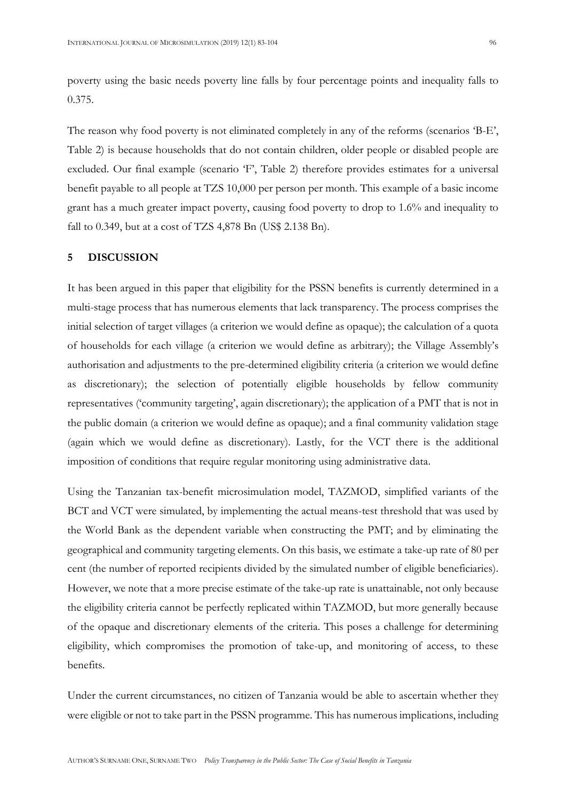poverty using the basic needs poverty line falls by four percentage points and inequality falls to 0.375.

The reason why food poverty is not eliminated completely in any of the reforms (scenarios 'B-E', Table 2) is because households that do not contain children, older people or disabled people are excluded. Our final example (scenario 'F', Table 2) therefore provides estimates for a universal benefit payable to all people at TZS 10,000 per person per month. This example of a basic income grant has a much greater impact poverty, causing food poverty to drop to 1.6% and inequality to fall to 0.349, but at a cost of TZS 4,878 Bn (US\$ 2.138 Bn).

### **5 DISCUSSION**

It has been argued in this paper that eligibility for the PSSN benefits is currently determined in a multi-stage process that has numerous elements that lack transparency. The process comprises the initial selection of target villages (a criterion we would define as opaque); the calculation of a quota of households for each village (a criterion we would define as arbitrary); the Village Assembly's authorisation and adjustments to the pre-determined eligibility criteria (a criterion we would define as discretionary); the selection of potentially eligible households by fellow community representatives ('community targeting', again discretionary); the application of a PMT that is not in the public domain (a criterion we would define as opaque); and a final community validation stage (again which we would define as discretionary). Lastly, for the VCT there is the additional imposition of conditions that require regular monitoring using administrative data.

Using the Tanzanian tax-benefit microsimulation model, TAZMOD, simplified variants of the BCT and VCT were simulated, by implementing the actual means-test threshold that was used by the World Bank as the dependent variable when constructing the PMT; and by eliminating the geographical and community targeting elements. On this basis, we estimate a take-up rate of 80 per cent (the number of reported recipients divided by the simulated number of eligible beneficiaries). However, we note that a more precise estimate of the take-up rate is unattainable, not only because the eligibility criteria cannot be perfectly replicated within TAZMOD, but more generally because of the opaque and discretionary elements of the criteria. This poses a challenge for determining eligibility, which compromises the promotion of take-up, and monitoring of access, to these benefits.

Under the current circumstances, no citizen of Tanzania would be able to ascertain whether they were eligible or not to take part in the PSSN programme. This has numerous implications, including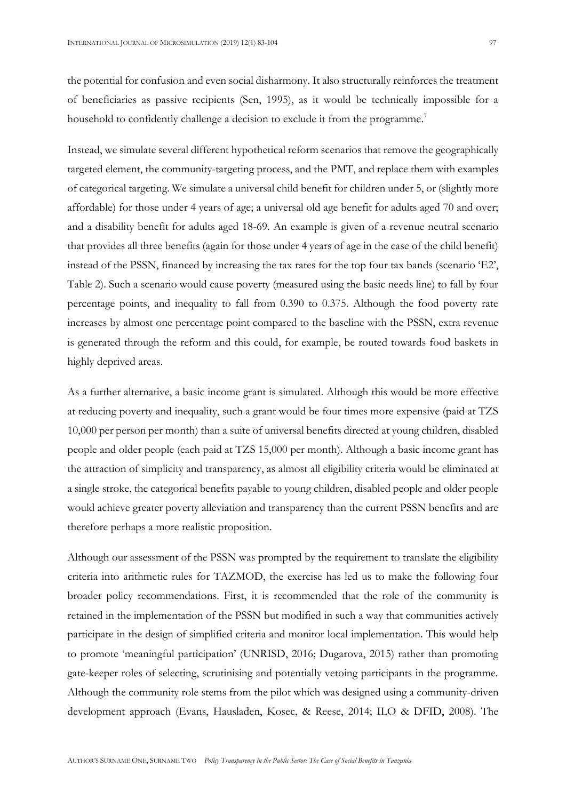the potential for confusion and even social disharmony. It also structurally reinforces the treatment of beneficiaries as passive recipients (Sen, 1995), as it would be technically impossible for a household to confidently challenge a decision to exclude it from the programme.<sup>7</sup>

Instead, we simulate several different hypothetical reform scenarios that remove the geographically targeted element, the community-targeting process, and the PMT, and replace them with examples of categorical targeting. We simulate a universal child benefit for children under 5, or (slightly more affordable) for those under 4 years of age; a universal old age benefit for adults aged 70 and over; and a disability benefit for adults aged 18-69. An example is given of a revenue neutral scenario that provides all three benefits (again for those under 4 years of age in the case of the child benefit) instead of the PSSN, financed by increasing the tax rates for the top four tax bands (scenario 'E2', Table 2). Such a scenario would cause poverty (measured using the basic needs line) to fall by four percentage points, and inequality to fall from 0.390 to 0.375. Although the food poverty rate increases by almost one percentage point compared to the baseline with the PSSN, extra revenue is generated through the reform and this could, for example, be routed towards food baskets in highly deprived areas.

As a further alternative, a basic income grant is simulated. Although this would be more effective at reducing poverty and inequality, such a grant would be four times more expensive (paid at TZS 10,000 per person per month) than a suite of universal benefits directed at young children, disabled people and older people (each paid at TZS 15,000 per month). Although a basic income grant has the attraction of simplicity and transparency, as almost all eligibility criteria would be eliminated at a single stroke, the categorical benefits payable to young children, disabled people and older people would achieve greater poverty alleviation and transparency than the current PSSN benefits and are therefore perhaps a more realistic proposition.

Although our assessment of the PSSN was prompted by the requirement to translate the eligibility criteria into arithmetic rules for TAZMOD, the exercise has led us to make the following four broader policy recommendations. First, it is recommended that the role of the community is retained in the implementation of the PSSN but modified in such a way that communities actively participate in the design of simplified criteria and monitor local implementation. This would help to promote 'meaningful participation' (UNRISD, 2016; Dugarova, 2015) rather than promoting gate-keeper roles of selecting, scrutinising and potentially vetoing participants in the programme. Although the community role stems from the pilot which was designed using a community-driven development approach (Evans, Hausladen, Kosec, & Reese, 2014; ILO & DFID, 2008). The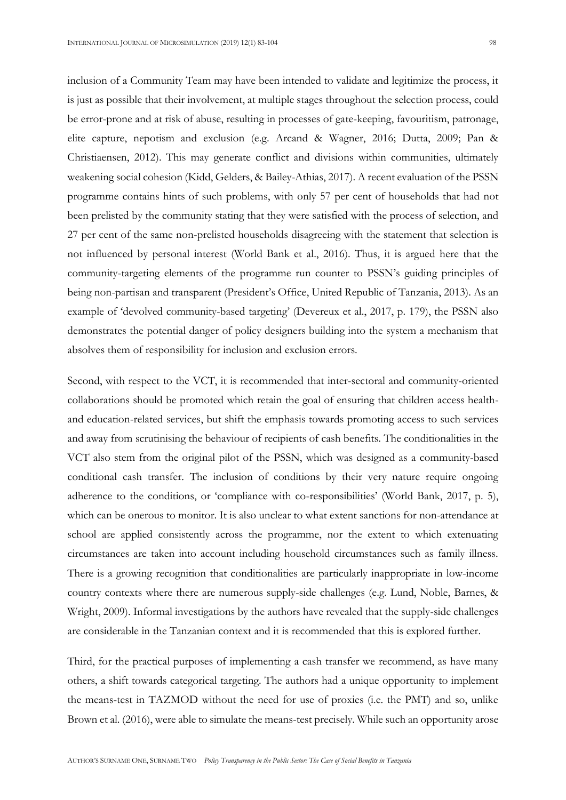inclusion of a Community Team may have been intended to validate and legitimize the process, it is just as possible that their involvement, at multiple stages throughout the selection process, could be error-prone and at risk of abuse, resulting in processes of gate-keeping, favouritism, patronage, elite capture, nepotism and exclusion (e.g. Arcand & Wagner, 2016; Dutta, 2009; Pan & Christiaensen, 2012). This may generate conflict and divisions within communities, ultimately weakening social cohesion (Kidd, Gelders, & Bailey-Athias, 2017). A recent evaluation of the PSSN programme contains hints of such problems, with only 57 per cent of households that had not been prelisted by the community stating that they were satisfied with the process of selection, and 27 per cent of the same non-prelisted households disagreeing with the statement that selection is not influenced by personal interest (World Bank et al., 2016). Thus, it is argued here that the community-targeting elements of the programme run counter to PSSN's guiding principles of being non-partisan and transparent (President's Office, United Republic of Tanzania, 2013). As an example of 'devolved community-based targeting' (Devereux et al., 2017, p. 179), the PSSN also demonstrates the potential danger of policy designers building into the system a mechanism that absolves them of responsibility for inclusion and exclusion errors.

Second, with respect to the VCT, it is recommended that inter-sectoral and community-oriented collaborations should be promoted which retain the goal of ensuring that children access healthand education-related services, but shift the emphasis towards promoting access to such services and away from scrutinising the behaviour of recipients of cash benefits. The conditionalities in the VCT also stem from the original pilot of the PSSN, which was designed as a community-based conditional cash transfer. The inclusion of conditions by their very nature require ongoing adherence to the conditions, or 'compliance with co-responsibilities' (World Bank, 2017, p. 5), which can be onerous to monitor. It is also unclear to what extent sanctions for non-attendance at school are applied consistently across the programme, nor the extent to which extenuating circumstances are taken into account including household circumstances such as family illness. There is a growing recognition that conditionalities are particularly inappropriate in low-income country contexts where there are numerous supply-side challenges (e.g. Lund, Noble, Barnes, & Wright, 2009). Informal investigations by the authors have revealed that the supply-side challenges are considerable in the Tanzanian context and it is recommended that this is explored further.

Third, for the practical purposes of implementing a cash transfer we recommend, as have many others, a shift towards categorical targeting. The authors had a unique opportunity to implement the means-test in TAZMOD without the need for use of proxies (i.e. the PMT) and so, unlike Brown et al. (2016), were able to simulate the means-test precisely. While such an opportunity arose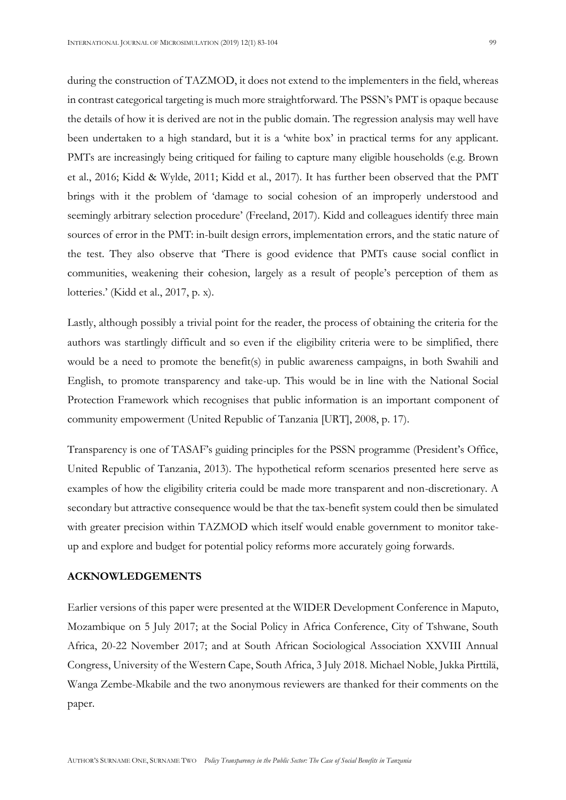during the construction of TAZMOD, it does not extend to the implementers in the field, whereas in contrast categorical targeting is much more straightforward. The PSSN's PMT is opaque because the details of how it is derived are not in the public domain. The regression analysis may well have been undertaken to a high standard, but it is a 'white box' in practical terms for any applicant. PMTs are increasingly being critiqued for failing to capture many eligible households (e.g. Brown et al., 2016; Kidd & Wylde, 2011; Kidd et al., 2017). It has further been observed that the PMT brings with it the problem of 'damage to social cohesion of an improperly understood and seemingly arbitrary selection procedure' (Freeland, 2017). Kidd and colleagues identify three main sources of error in the PMT: in-built design errors, implementation errors, and the static nature of the test. They also observe that 'There is good evidence that PMTs cause social conflict in communities, weakening their cohesion, largely as a result of people's perception of them as lotteries.' (Kidd et al., 2017, p. x).

Lastly, although possibly a trivial point for the reader, the process of obtaining the criteria for the authors was startlingly difficult and so even if the eligibility criteria were to be simplified, there would be a need to promote the benefit(s) in public awareness campaigns, in both Swahili and English, to promote transparency and take-up. This would be in line with the National Social Protection Framework which recognises that public information is an important component of community empowerment (United Republic of Tanzania [URT], 2008, p. 17).

Transparency is one of TASAF's guiding principles for the PSSN programme (President's Office, United Republic of Tanzania, 2013). The hypothetical reform scenarios presented here serve as examples of how the eligibility criteria could be made more transparent and non-discretionary. A secondary but attractive consequence would be that the tax-benefit system could then be simulated with greater precision within TAZMOD which itself would enable government to monitor takeup and explore and budget for potential policy reforms more accurately going forwards.

### **ACKNOWLEDGEMENTS**

Earlier versions of this paper were presented at the WIDER Development Conference in Maputo, Mozambique on 5 July 2017; at the Social Policy in Africa Conference, City of Tshwane, South Africa, 20-22 November 2017; and at South African Sociological Association XXVIII Annual Congress, University of the Western Cape, South Africa, 3 July 2018. Michael Noble, Jukka Pirttilä, Wanga Zembe-Mkabile and the two anonymous reviewers are thanked for their comments on the paper.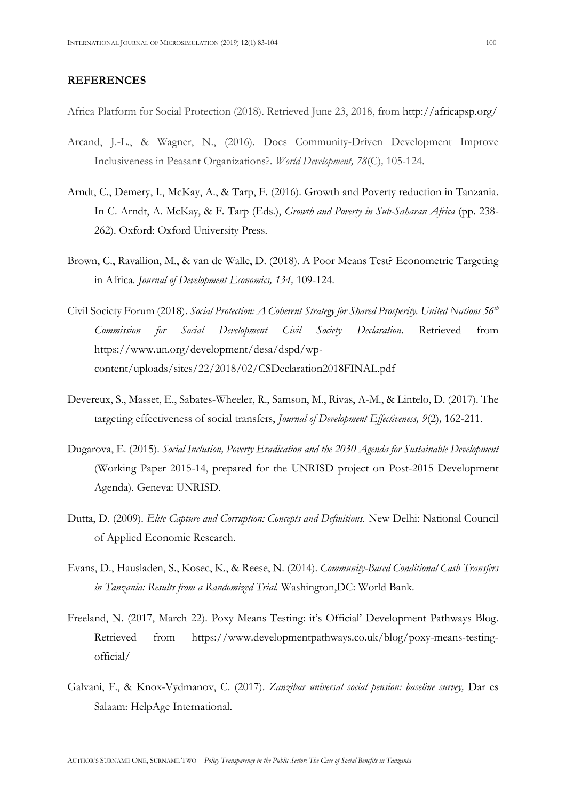### **REFERENCES**

Africa Platform for Social Protection (2018). Retrieved June 23, 2018, from http://africapsp.org/

- Arcand, J.-L., & Wagner, N., (2016). Does Community-Driven Development Improve Inclusiveness in Peasant Organizations?. *World Development, 78*(C)*,* 105-124.
- Arndt, C., Demery, I., McKay, A., & Tarp, F. (2016). Growth and Poverty reduction in Tanzania. In C. Arndt, A. McKay, & F. Tarp (Eds.), *Growth and Poverty in Sub-Saharan Africa* (pp. 238- 262). Oxford: Oxford University Press.
- Brown, C., Ravallion, M., & van de Walle, D. (2018). A Poor Means Test? Econometric Targeting in Africa*. Journal of Development Economics, 134,* 109-124.
- Civil Society Forum (2018). *Social Protection: A Coherent Strategy for Shared Prosperity. United Nations 56th Commission for Social Development Civil Society Declaration*. Retrieved from https://www.un.org/development/desa/dspd/wpcontent/uploads/sites/22/2018/02/CSDeclaration2018FINAL.pdf
- Devereux, S., Masset, E., Sabates-Wheeler, R., Samson, M., Rivas, A-M., & Lintelo, D. (2017). The targeting effectiveness of social transfers, *Journal of Development Effectiveness, 9*(2)*,* 162-211.
- Dugarova, E. (2015). *Social Inclusion, Poverty Eradication and the 2030 Agenda for Sustainable Development*  (Working Paper 2015-14, prepared for the UNRISD project on Post-2015 Development Agenda). Geneva: UNRISD.
- Dutta, D. (2009). *Elite Capture and Corruption: Concepts and Definitions.* New Delhi: National Council of Applied Economic Research.
- Evans, D., Hausladen, S., Kosec, K., & Reese, N. (2014). *Community-Based Conditional Cash Transfers in Tanzania: Results from a Randomized Trial.* Washington,DC: World Bank.
- Freeland, N. (2017, March 22). Poxy Means Testing: it's Official' Development Pathways Blog. Retrieved from https://www.developmentpathways.co.uk/blog/poxy-means-testingofficial/
- Galvani, F., & Knox-Vydmanov, C. (2017). *Zanzibar universal social pension: baseline survey,* Dar es Salaam: HelpAge International.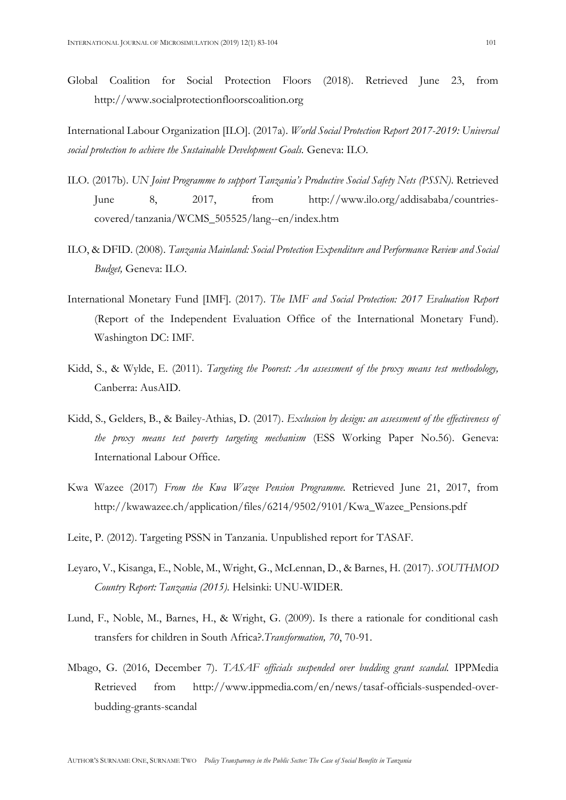Global Coalition for Social Protection Floors (2018). Retrieved June 23, from http://www.socialprotectionfloorscoalition.org

International Labour Organization [ILO]. (2017a). *World Social Protection Report 2017-2019: Universal social protection to achieve the Sustainable Development Goals.* Geneva: ILO*.* 

- ILO. (2017b). *UN Joint Programme to support Tanzania's Productive Social Safety Nets (PSSN)*. Retrieved June 8, 2017, from http://www.ilo.org/addisababa/countriescovered/tanzania/WCMS\_505525/lang--en/index.htm
- ILO, & DFID. (2008). *Tanzania Mainland: Social Protection Expenditure and Performance Review and Social Budget,* Geneva: ILO.
- International Monetary Fund [IMF]. (2017). *The IMF and Social Protection: 2017 Evaluation Report*  (Report of the Independent Evaluation Office of the International Monetary Fund). Washington DC: IMF.
- Kidd, S., & Wylde, E. (2011). *Targeting the Poorest: An assessment of the proxy means test methodology,*  Canberra: AusAID.
- Kidd, S., Gelders, B., & Bailey-Athias, D. (2017). *Exclusion by design: an assessment of the effectiveness of the proxy means test poverty targeting mechanism* (ESS Working Paper No.56). Geneva: International Labour Office.
- Kwa Wazee (2017) *From the Kwa Wazee Pension Programme.* Retrieved June 21, 2017, from http://kwawazee.ch/application/files/6214/9502/9101/Kwa\_Wazee\_Pensions.pdf
- Leite, P. (2012). Targeting PSSN in Tanzania. Unpublished report for TASAF.
- Leyaro, V., Kisanga, E., Noble, M., Wright, G., McLennan, D., & Barnes, H. (2017). *SOUTHMOD Country Report: Tanzania (2015).* Helsinki: UNU-WIDER.
- Lund, F., Noble, M., Barnes, H., & Wright, G. (2009). Is there a rationale for conditional cash transfers for children in South Africa?.*Transformation, 70*, 70-91.
- Mbago, G. (2016, December 7). *TASAF officials suspended over budding grant scandal.* IPPMedia Retrieved from http://www.ippmedia.com/en/news/tasaf-officials-suspended-overbudding-grants-scandal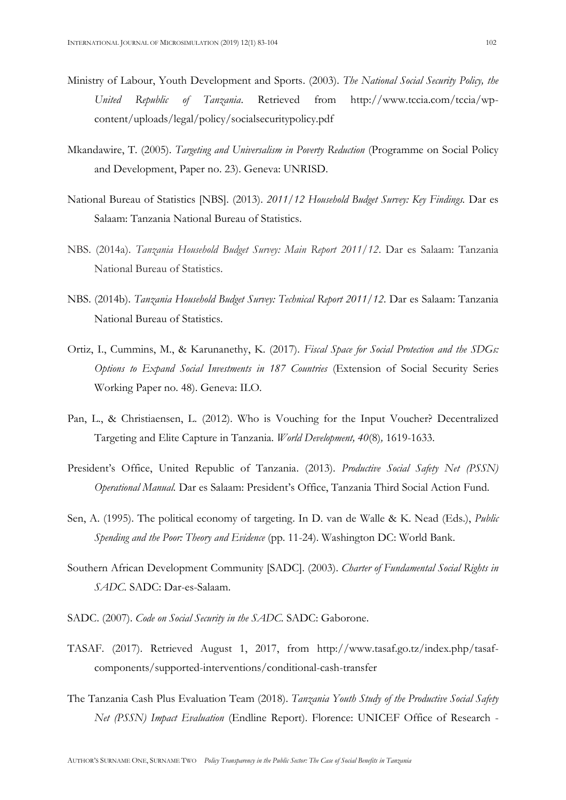- Ministry of Labour, Youth Development and Sports. (2003). *The National Social Security Policy, the United Republic of Tanzania*. Retrieved from http://www.tccia.com/tccia/wpcontent/uploads/legal/policy/socialsecuritypolicy.pdf
- Mkandawire, T. (2005). *Targeting and Universalism in Poverty Reduction* (Programme on Social Policy and Development, Paper no. 23). Geneva: UNRISD.
- National Bureau of Statistics [NBS]. (2013). *2011/12 Household Budget Survey: Key Findings.* Dar es Salaam: Tanzania National Bureau of Statistics.
- NBS. (2014a). *Tanzania Household Budget Survey: Main Report 2011/12*. Dar es Salaam: Tanzania National Bureau of Statistics.
- NBS. (2014b). *Tanzania Household Budget Survey: Technical Report 2011/12*. Dar es Salaam: Tanzania National Bureau of Statistics.
- Ortiz, I., Cummins, M., & Karunanethy, K. (2017). *Fiscal Space for Social Protection and the SDGs: Options to Expand Social Investments in 187 Countries* (Extension of Social Security Series Working Paper no. 48). Geneva: ILO.
- Pan, L., & Christiaensen, L. (2012). Who is Vouching for the Input Voucher? Decentralized Targeting and Elite Capture in Tanzania. *World Development, 40*(8)*,* 1619-1633.
- President's Office, United Republic of Tanzania. (2013). *Productive Social Safety Net (PSSN) Operational Manual.* Dar es Salaam: President's Office, Tanzania Third Social Action Fund.
- Sen, A. (1995). The political economy of targeting. In D. van de Walle & K. Nead (Eds.), *Public Spending and the Poor: Theory and Evidence* (pp. 11-24). Washington DC: World Bank.
- Southern African Development Community [SADC]. (2003). *Charter of Fundamental Social Rights in SADC.* SADC: Dar-es-Salaam.
- SADC. (2007). *Code on Social Security in the SADC.* SADC: Gaborone.
- TASAF. (2017). Retrieved August 1, 2017, from http://www.tasaf.go.tz/index.php/tasafcomponents/supported-interventions/conditional-cash-transfer
- The Tanzania Cash Plus Evaluation Team (2018). *Tanzania Youth Study of the Productive Social Safety Net (PSSN) Impact Evaluation* (Endline Report). Florence: UNICEF Office of Research -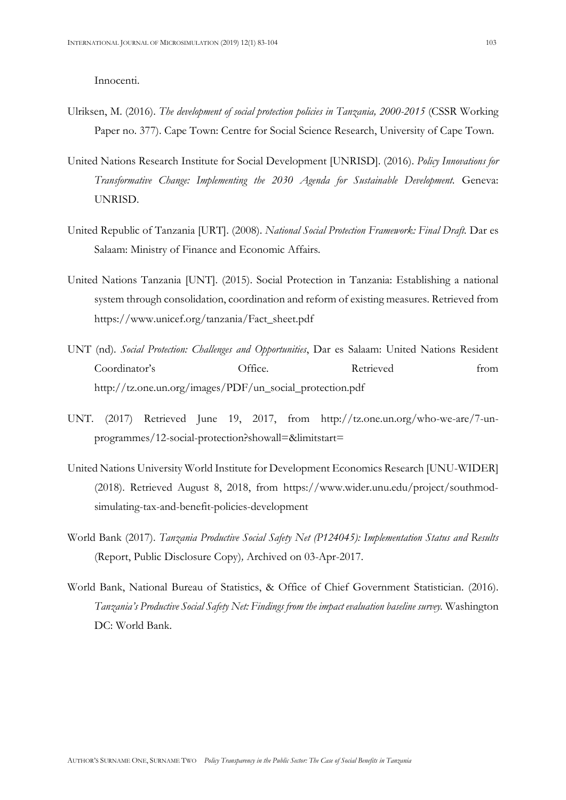Innocenti.

- Ulriksen, M. (2016). *The development of social protection policies in Tanzania, 2000-2015* (CSSR Working Paper no. 377). Cape Town: Centre for Social Science Research, University of Cape Town.
- United Nations Research Institute for Social Development [UNRISD]. (2016). *Policy Innovations for Transformative Change: Implementing the 2030 Agenda for Sustainable Development.* Geneva: UNRISD.
- United Republic of Tanzania [URT]. (2008). *National Social Protection Framework: Final Draft.* Dar es Salaam: Ministry of Finance and Economic Affairs.
- United Nations Tanzania [UNT]. (2015). Social Protection in Tanzania: Establishing a national system through consolidation, coordination and reform of existing measures. Retrieved from https://www.unicef.org/tanzania/Fact\_sheet.pdf
- UNT (nd). *Social Protection: Challenges and Opportunities*, Dar es Salaam: United Nations Resident Coordinator's Office. Retrieved from http://tz.one.un.org/images/PDF/un\_social\_protection.pdf
- UNT. (2017) Retrieved June 19, 2017, from http://tz.one.un.org/who-we-are/7-unprogrammes/12-social-protection?showall=&limitstart=
- United Nations University World Institute for Development Economics Research [UNU-WIDER] (2018). Retrieved August 8, 2018, from https://www.wider.unu.edu/project/southmodsimulating-tax-and-benefit-policies-development
- World Bank (2017). *Tanzania Productive Social Safety Net (P124045): Implementation Status and Results*  (Report, Public Disclosure Copy)*,* Archived on 03-Apr-2017.
- World Bank, National Bureau of Statistics, & Office of Chief Government Statistician. (2016). *Tanzania's Productive Social Safety Net: Findings from the impact evaluation baseline survey.* Washington DC: World Bank.